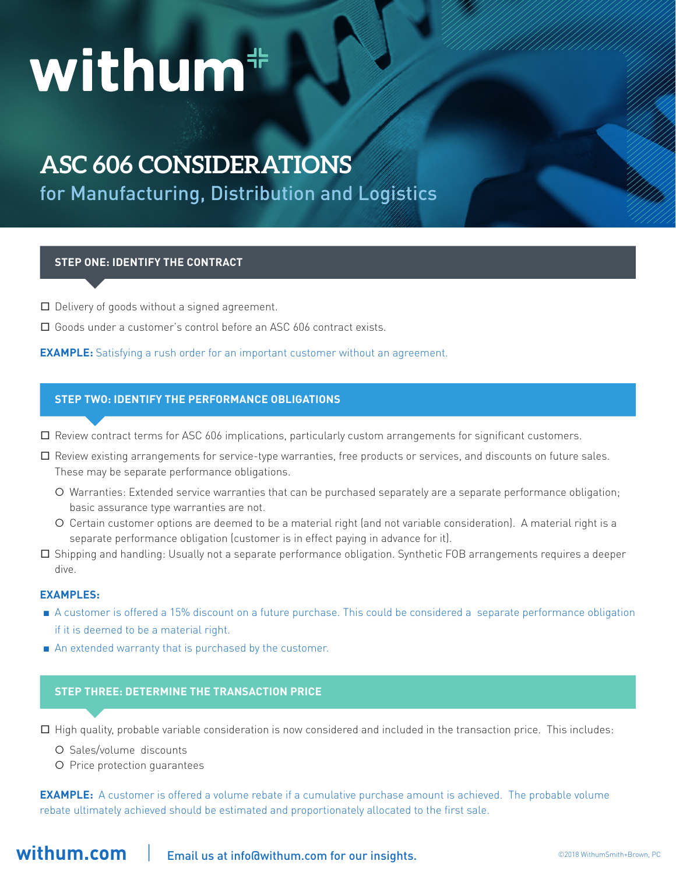# withum<sup>#</sup>

# **ASC 606 CONSIDERATIONS**

for Manufacturing, Distribution and Logistics

### **STEP ONE: IDENTIFY THE CONTRACT**

- **□** Delivery of goods without a signed agreement.
- **□** Goods under a customer's control before an ASC 606 contract exists.

**EXAMPLE:** Satisfying a rush order for an important customer without an agreement.

### **STEP TWO: IDENTIFY THE PERFORMANCE OBLIGATIONS**

- **□** Review contract terms for ASC 606 implications, particularly custom arrangements for significant customers.
- **□** Review existing arrangements for service-type warranties, free products or services, and discounts on future sales. These may be separate performance obligations.
	- Warranties: Extended service warranties that can be purchased separately are a separate performance obligation; basic assurance type warranties are not.
	- Certain customer options are deemed to be a material right (and not variable consideration). A material right is a separate performance obligation (customer is in effect paying in advance for it).
- **□** Shipping and handling: Usually not a separate performance obligation. Synthetic FOB arrangements requires a deeper dive.

#### **EXAMPLES:**

- **■** A customer is offered a 15% discount on a future purchase. This could be considered a separate performance obligation if it is deemed to be a material right.
- An extended warranty that is purchased by the customer.

### **STEP THREE: DETERMINE THE TRANSACTION PRICE**

**□** High quality, probable variable consideration is now considered and included in the transaction price. This includes:

- Sales/volume discounts
- Price protection guarantees

**EXAMPLE:** A customer is offered a volume rebate if a cumulative purchase amount is achieved. The probable volume rebate ultimately achieved should be estimated and proportionately allocated to the first sale.

**withum.com** | Email us at info@withum.com for our insights.